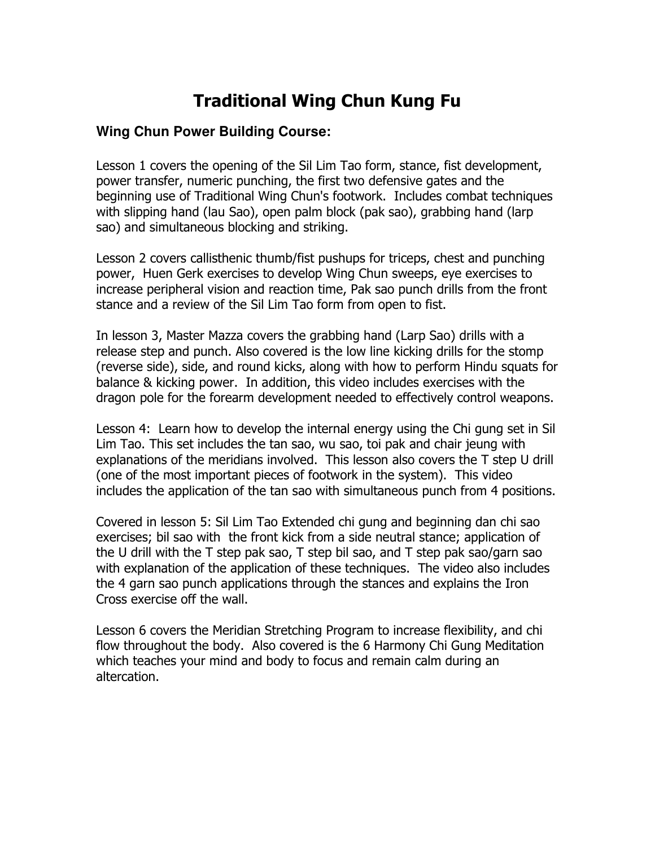## Traditional Wing Chun Kung Fu

## **Wing Chun Power Building Course:**

Lesson 1 covers the opening of the Sil Lim Tao form, stance, fist development, power transfer, numeric punching, the first two defensive gates and the beginning use of Traditional Wing Chun's footwork. Includes combat techniques with slipping hand (lau Sao), open palm block (pak sao), grabbing hand (larp sao) and simultaneous blocking and striking.

Lesson 2 covers callisthenic thumb/fist pushups for triceps, chest and punching power, Huen Gerk exercises to develop Wing Chun sweeps, eye exercises to increase peripheral vision and reaction time, Pak sao punch drills from the front stance and a review of the Sil Lim Tao form from open to fist.

In lesson 3, Master Mazza covers the grabbing hand (Larp Sao) drills with a release step and punch. Also covered is the low line kicking drills for the stomp (reverse side), side, and round kicks, along with how to perform Hindu squats for balance & kicking power. In addition, this video includes exercises with the dragon pole for the forearm development needed to effectively control weapons.

Lesson 4: Learn how to develop the internal energy using the Chi gung set in Sil Lim Tao. This set includes the tan sao, wu sao, toi pak and chair jeung with explanations of the meridians involved. This lesson also covers the T step U drill (one of the most important pieces of footwork in the system). This video includes the application of the tan sao with simultaneous punch from 4 positions.

Covered in lesson 5: Sil Lim Tao Extended chi gung and beginning dan chi sao exercises; bil sao with the front kick from a side neutral stance; application of the U drill with the T step pak sao, T step bil sao, and T step pak sao/garn sao with explanation of the application of these techniques. The video also includes the 4 garn sao punch applications through the stances and explains the Iron Cross exercise off the wall.

Lesson 6 covers the Meridian Stretching Program to increase flexibility, and chi flow throughout the body. Also covered is the 6 Harmony Chi Gung Meditation which teaches your mind and body to focus and remain calm during an altercation.